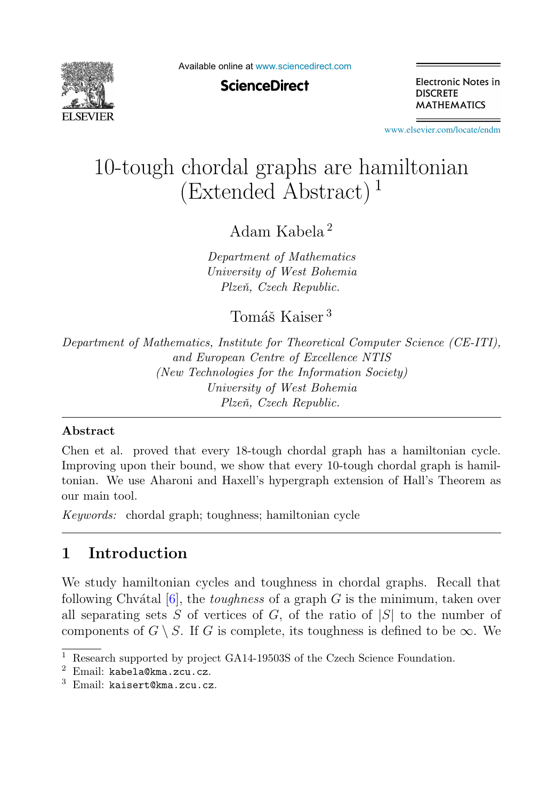

Available online at [www.sciencedirect.com](http://www.sciencedirect.com)

**ScienceDirect** 

Electronic Notes in **DISCRETE MATHEMATICS** 

[www.elsevier.com/locate/endm](http://www.elsevier.com/locate/endm)

# 10-tough chordal graphs are hamiltonian  $(Extended Abstract)^1$

Adam Kabela <sup>2</sup>

*Department of Mathematics University of West Bohemia Plzeˇn, Czech Republic.*

Tomáš Kaiser<sup>3</sup>

*Department of Mathematics, Institute for Theoretical Computer Science (CE-ITI), and European Centre of Excellence NTIS (New Technologies for the Information Society) University of West Bohemia Plzeˇn, Czech Republic.*

#### **Abstract**

Chen et al. proved that every 18-tough chordal graph has a hamiltonian cycle. Improving upon their bound, we show that every 10-tough chordal graph is hamiltonian. We use Aharoni and Haxell's hypergraph extension of Hall's Theorem as our main tool.

*Keywords:* chordal graph; toughness; hamiltonian cycle

# **1 Introduction**

We study hamiltonian cycles and toughness in chordal graphs. Recall that following Chvátal  $[6]$ , the *toughness* of a graph G is the minimum, taken over all separating sets S of vertices of G, of the ratio of  $|S|$  to the number of components of  $G \setminus S$ . If G is complete, its toughness is defined to be  $\infty$ . We

<sup>&</sup>lt;sup>1</sup> Research supported by project GA14-19503S of the Czech Science Foundation.

 $2$  Email: kabela@kma.zcu.cz.

 $3$  Email: kaisert@kma.zcu.cz.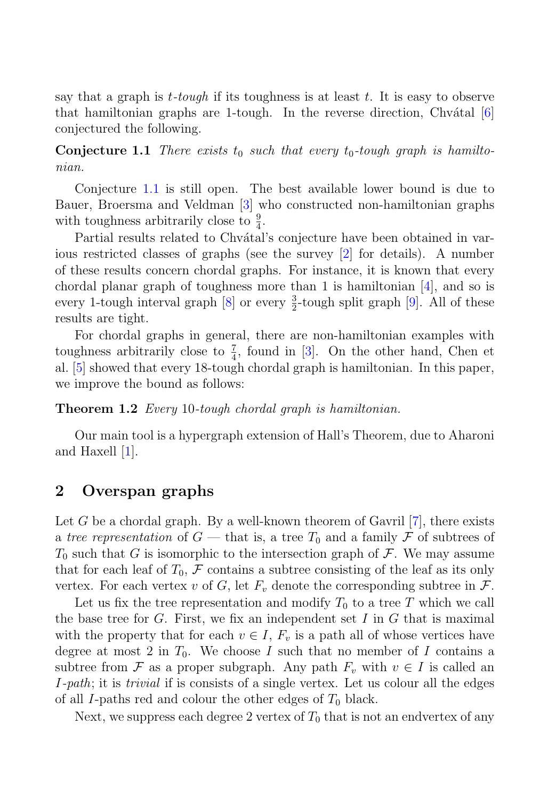say that a graph is  $t$ -tough if its toughness is at least t. It is easy to observe that hamiltonian graphs are 1-tough. In the reverse direction, Chv $\delta$ tal [6] conjectured the following.

**Conjecture 1.1** There exists  $t_0$  such that every  $t_0$ -tough graph is hamiltonian.

Conjecture 1.1 is still open. The best available lower bound is due to Bauer, Broersma and Veldman [3] who constructed non-hamiltonian graphs with toughness arbitrarily close to  $\frac{9}{4}$ .

Partial results related to Chvátal's conjecture have been obtained in various restricted classes of graphs (see the survey [2] for details). A number of these results concern chordal graphs. For instance, it is known that every chordal planar graph of toughness more than 1 is hamiltonian  $|4|$ , and so is every 1-tough interval graph  $[8]$  or every  $\frac{3}{2}$ -tough split graph  $[9]$ . All of these results are tight.

For chordal graphs in general, there are non-hamiltonian examples with toughness arbitrarily close to  $\frac{7}{4}$ , found in [3]. On the other hand, Chen et al. [5] showed that every 18-tough chordal graph is hamiltonian. In this paper, we improve the bound as follows:

**Theorem 1.2** Every 10-tough chordal graph is hamiltonian.

Our main tool is a hypergraph extension of Hall's Theorem, due to Aharoni and Haxell [1].

### **2 Overspan graphs**

Let G be a chordal graph. By a well-known theorem of Gavril  $[7]$ , there exists a tree representation of  $G$  — that is, a tree  $T_0$  and a family  $\mathcal F$  of subtrees of  $T_0$  such that G is isomorphic to the intersection graph of F. We may assume that for each leaf of  $T_0$ , F contains a subtree consisting of the leaf as its only vertex. For each vertex v of G, let  $F_v$  denote the corresponding subtree in  $\mathcal{F}$ .

Let us fix the tree representation and modify  $T_0$  to a tree T which we call the base tree for  $G$ . First, we fix an independent set I in  $G$  that is maximal with the property that for each  $v \in I$ ,  $F_v$  is a path all of whose vertices have degree at most 2 in  $T_0$ . We choose I such that no member of I contains a subtree from F as a proper subgraph. Any path  $F_v$  with  $v \in I$  is called an I-path; it is trivial if is consists of a single vertex. Let us colour all the edges of all I-paths red and colour the other edges of  $T_0$  black.

Next, we suppress each degree 2 vertex of  $T_0$  that is not an endvertex of any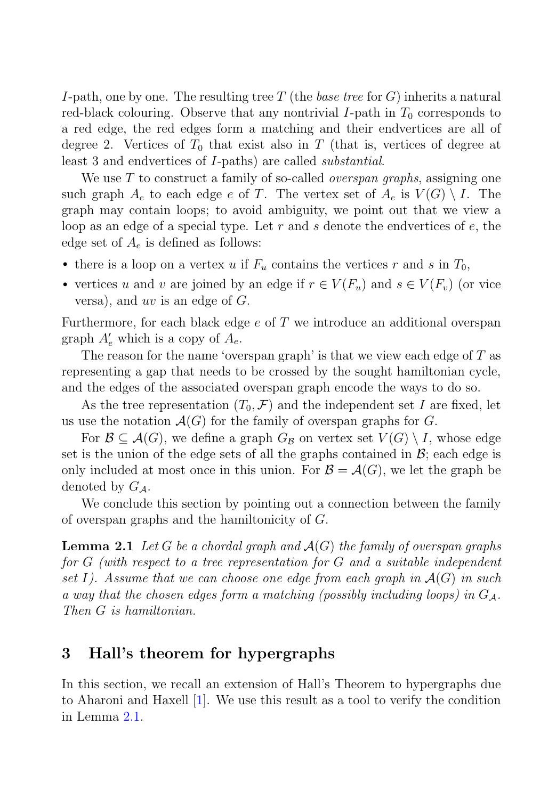I-path, one by one. The resulting tree T (the base tree for  $G$ ) inherits a natural red-black colouring. Observe that any nontrivial I-path in  $T_0$  corresponds to a red edge, the red edges form a matching and their endvertices are all of degree 2. Vertices of  $T_0$  that exist also in T (that is, vertices of degree at least 3 and endvertices of I-paths) are called substantial.

We use  $T$  to construct a family of so-called *overspan graphs*, assigning one such graph  $A_e$  to each edge e of T. The vertex set of  $A_e$  is  $V(G) \setminus I$ . The graph may contain loops; to avoid ambiguity, we point out that we view a loop as an edge of a special type. Let r and s denote the endvertices of  $e$ , the edge set of  $A_e$  is defined as follows:

- there is a loop on a vertex u if  $F_u$  contains the vertices r and s in  $T_0$ ,
- vertices u and v are joined by an edge if  $r \in V(F_u)$  and  $s \in V(F_v)$  (or vice versa), and  $uv$  is an edge of  $G$ .

Furthermore, for each black edge e of T we introduce an additional overspan graph  $A'_e$  which is a copy of  $A_e$ .

The reason for the name 'overspan graph' is that we view each edge of  $T$  as representing a gap that needs to be crossed by the sought hamiltonian cycle, and the edges of the associated overspan graph encode the ways to do so.

As the tree representation  $(T_0, \mathcal{F})$  and the independent set I are fixed, let us use the notation  $\mathcal{A}(G)$  for the family of overspan graphs for G.

For  $\mathcal{B} \subseteq \mathcal{A}(G)$ , we define a graph  $G_{\mathcal{B}}$  on vertex set  $V(G) \setminus I$ , whose edge set is the union of the edge sets of all the graphs contained in  $\mathcal{B}$ ; each edge is only included at most once in this union. For  $\mathcal{B} = \mathcal{A}(G)$ , we let the graph be denoted by  $G_A$ .

We conclude this section by pointing out a connection between the family of overspan graphs and the hamiltonicity of G.

**Lemma 2.1** Let G be a chordal graph and  $\mathcal{A}(G)$  the family of overspan graphs for G (with respect to a tree representation for G and a suitable independent set I). Assume that we can choose one edge from each graph in  $\mathcal{A}(G)$  in such a way that the chosen edges form a matching (possibly including loops) in  $G<sub>A</sub>$ . Then G is hamiltonian.

## **3 Hall's theorem for hypergraphs**

In this section, we recall an extension of Hall's Theorem to hypergraphs due to Aharoni and Haxell [1]. We use this result as a tool to verify the condition in Lemma 2.1.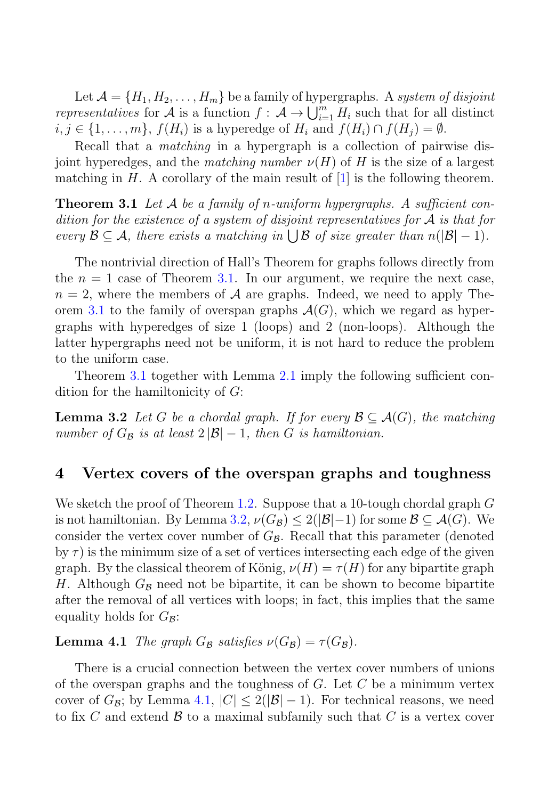Let  $\mathcal{A} = \{H_1, H_2, \ldots, H_m\}$  be a family of hypergraphs. A system of disjoint representatives for A is a function  $f: \mathcal{A} \to \bigcup_{i=1}^m H_i$  such that for all distinct  $i, j \in \{1, \ldots, m\}, f(H_i)$  is a hyperedge of  $H_i$  and  $f(H_i) \cap f(H_j) = \emptyset$ .

Recall that a matching in a hypergraph is a collection of pairwise disjoint hyperedges, and the matching number  $\nu(H)$  of H is the size of a largest matching in  $H$ . A corollary of the main result of [1] is the following theorem.

**Theorem 3.1** Let A be a family of n-uniform hypergraphs. A sufficient condition for the existence of a system of disjoint representatives for  $A$  is that for every  $\mathcal{B} \subseteq \mathcal{A}$ , there exists a matching in  $\bigcup \mathcal{B}$  of size greater than  $n(|\mathcal{B}|-1)$ .

The nontrivial direction of Hall's Theorem for graphs follows directly from the  $n = 1$  case of Theorem 3.1. In our argument, we require the next case,  $n = 2$ , where the members of A are graphs. Indeed, we need to apply Theorem 3.1 to the family of overspan graphs  $\mathcal{A}(G)$ , which we regard as hypergraphs with hyperedges of size 1 (loops) and 2 (non-loops). Although the latter hypergraphs need not be uniform, it is not hard to reduce the problem to the uniform case.

Theorem 3.1 together with Lemma 2.1 imply the following sufficient condition for the hamiltonicity of G:

**Lemma 3.2** Let G be a chordal graph. If for every  $\mathcal{B} \subseteq \mathcal{A}(G)$ , the matching number of  $G_{\mathcal{B}}$  is at least  $2|\mathcal{B}|-1$ , then G is hamiltonian.

#### **4 Vertex covers of the overspan graphs and toughness**

We sketch the proof of Theorem 1.2. Suppose that a 10-tough chordal graph  $G$ is not hamiltonian. By Lemma 3.2,  $\nu(G_{\mathcal{B}}) \leq 2(|\mathcal{B}|-1)$  for some  $\mathcal{B} \subseteq \mathcal{A}(G)$ . We consider the vertex cover number of  $G_B$ . Recall that this parameter (denoted by  $\tau$ ) is the minimum size of a set of vertices intersecting each edge of the given graph. By the classical theorem of König,  $\nu(H) = \tau(H)$  for any bipartite graph H. Although  $G_{\beta}$  need not be bipartite, it can be shown to become bipartite after the removal of all vertices with loops; in fact, this implies that the same equality holds for  $G_{\mathcal{B}}$ :

**Lemma 4.1** The graph  $G_{\mathcal{B}}$  satisfies  $\nu(G_{\mathcal{B}}) = \tau(G_{\mathcal{B}})$ .

There is a crucial connection between the vertex cover numbers of unions of the overspan graphs and the toughness of  $G$ . Let  $C$  be a minimum vertex cover of  $G_{\mathcal{B}}$ ; by Lemma 4.1,  $|C| \leq 2(|\mathcal{B}|-1)$ . For technical reasons, we need to fix C and extend  $\beta$  to a maximal subfamily such that C is a vertex cover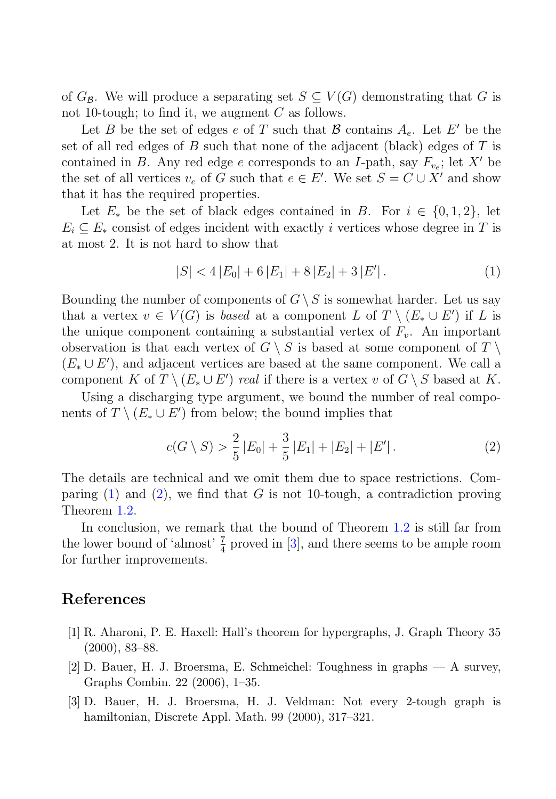of  $G_{\mathcal{B}}$ . We will produce a separating set  $S \subseteq V(G)$  demonstrating that G is not 10-tough; to find it, we augment  $C$  as follows.

Let B be the set of edges e of T such that B contains  $A_e$ . Let E' be the set of all red edges of  $B$  such that none of the adjacent (black) edges of  $T$  is contained in B. Any red edge e corresponds to an I-path, say  $F_{v_e}$ ; let X' be the set of all vertices  $v_e$  of G such that  $e \in E'$ . We set  $S = C \cup X'$  and show that it has the required properties.

Let  $E_*$  be the set of black edges contained in B. For  $i \in \{0, 1, 2\}$ , let  $E_i \subseteq E_*$  consist of edges incident with exactly i vertices whose degree in T is at most 2. It is not hard to show that

$$
|S| < 4|E_0| + 6|E_1| + 8|E_2| + 3|E'|.\tag{1}
$$

Bounding the number of components of  $G \setminus S$  is somewhat harder. Let us say that a vertex  $v \in V(G)$  is based at a component L of  $T \setminus (E_* \cup E')$  if L is the unique component containing a substantial vertex of  $F_v$ . An important observation is that each vertex of  $G \setminus S$  is based at some component of  $T \setminus S$  $(E_* \cup E')$ , and adjacent vertices are based at the same component. We call a component K of  $T \setminus (E_* \cup E')$  real if there is a vertex v of  $G \setminus S$  based at K.

Using a discharging type argument, we bound the number of real components of  $T \setminus (E_* \cup E')$  from below; the bound implies that

$$
c(G \setminus S) > \frac{2}{5} |E_0| + \frac{3}{5} |E_1| + |E_2| + |E'|.
$$
 (2)

The details are technical and we omit them due to space restrictions. Comparing  $(1)$  and  $(2)$ , we find that G is not 10-tough, a contradiction proving Theorem 1.2.

In conclusion, we remark that the bound of Theorem 1.2 is still far from the lower bound of 'almost'  $\frac{7}{4}$  proved in [3], and there seems to be ample room for further improvements.

### **References**

- [1] R. Aharoni, P. E. Haxell: Hall's theorem for hypergraphs, J. Graph Theory 35 (2000), 83–88.
- [2] D. Bauer, H. J. Broersma, E. Schmeichel: Toughness in graphs A survey, Graphs Combin. 22 (2006), 1–35.
- [3] D. Bauer, H. J. Broersma, H. J. Veldman: Not every 2-tough graph is hamiltonian, Discrete Appl. Math. 99 (2000), 317–321.